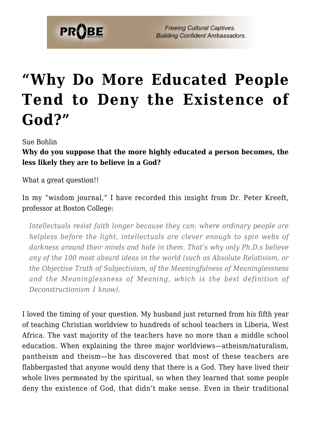

## **["Why Do More Educated People](https://probe.org/why-do-more-educated-people-tend-to-deny-the-existence-of-god/) [Tend to Deny the Existence of](https://probe.org/why-do-more-educated-people-tend-to-deny-the-existence-of-god/) [God?"](https://probe.org/why-do-more-educated-people-tend-to-deny-the-existence-of-god/)**

Sue Bohlin

**Why do you suppose that the more highly educated a person becomes, the less likely they are to believe in a God?**

What a great question!!

In my "wisdom journal," I have recorded this insight from Dr. Peter Kreeft, professor at Boston College:

*Intellectuals resist faith longer because they can: where ordinary people are helpless before the light, intellectuals are clever enough to spin webs of darkness around their minds and hide in them. That's why only Ph.D.s believe any of the 100 most absurd ideas in the world (such as Absolute Relativism, or the Objective Truth of Subjectivism, of the Meaningfulness of Meaninglessness and the Meaninglessness of Meaning, which is the best definition of Deconstructionism I know).*

I loved the timing of your question. My husband just returned from his fifth year of teaching Christian worldview to hundreds of school teachers in Liberia, West Africa. The vast majority of the teachers have no more than a middle school education. When explaining the three major worldviews—atheism/naturalism, pantheism and theism—he has discovered that most of these teachers are flabbergasted that anyone would deny that there is a God. They have lived their whole lives permeated by the spiritual, so when they learned that some people deny the existence of God, that didn't make sense. Even in their traditional